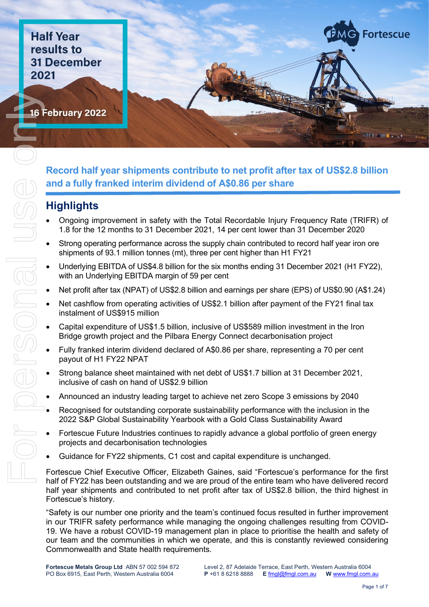**Half Year**<br>results to **31 December 2021** 

Report of the Content of the Content of the Content of the Content of the Content of The Content of The Content

16 February 2022



#### **Record half year shipments contribute to net profit after tax of US\$2.8 billion and a fully franked interim dividend of A\$0.86 per share**

# **Highlights**

- Ongoing improvement in safety with the Total Recordable Injury Frequency Rate (TRIFR) of 1.8 for the 12 months to 31 December 2021, 14 per cent lower than 31 December 2020
- Strong operating performance across the supply chain contributed to record half year iron ore shipments of 93.1 million tonnes (mt), three per cent higher than H1 FY21
- Underlying EBITDA of US\$4.8 billion for the six months ending 31 December 2021 (H1 FY22), with an Underlying EBITDA margin of 59 per cent
- Net profit after tax (NPAT) of US\$2.8 billion and earnings per share (EPS) of US\$0.90 (A\$1.24)
- Net cashflow from operating activities of US\$2.1 billion after payment of the FY21 final tax instalment of US\$915 million
- Capital expenditure of US\$1.5 billion, inclusive of US\$589 million investment in the Iron Bridge growth project and the Pilbara Energy Connect decarbonisation project
- Fully franked interim dividend declared of A\$0.86 per share, representing a 70 per cent payout of H1 FY22 NPAT
- Strong balance sheet maintained with net debt of US\$1.7 billion at 31 December 2021, inclusive of cash on hand of US\$2.9 billion
- Announced an industry leading target to achieve net zero Scope 3 emissions by 2040
- Recognised for outstanding corporate sustainability performance with the inclusion in the 2022 S&P Global Sustainability Yearbook with a Gold Class Sustainability Award
- Fortescue Future Industries continues to rapidly advance a global portfolio of green energy projects and decarbonisation technologies
- Guidance for FY22 shipments, C1 cost and capital expenditure is unchanged.

Fortescue Chief Executive Officer, Elizabeth Gaines, said "Fortescue's performance for the first half of FY22 has been outstanding and we are proud of the entire team who have delivered record half year shipments and contributed to net profit after tax of US\$2.8 billion, the third highest in Fortescue's history.

"Safety is our number one priority and the team's continued focus resulted in further improvement in our TRIFR safety performance while managing the ongoing challenges resulting from COVID-19. We have a robust COVID-19 management plan in place to prioritise the health and safety of our team and the communities in which we operate, and this is constantly reviewed considering Commonwealth and State health requirements.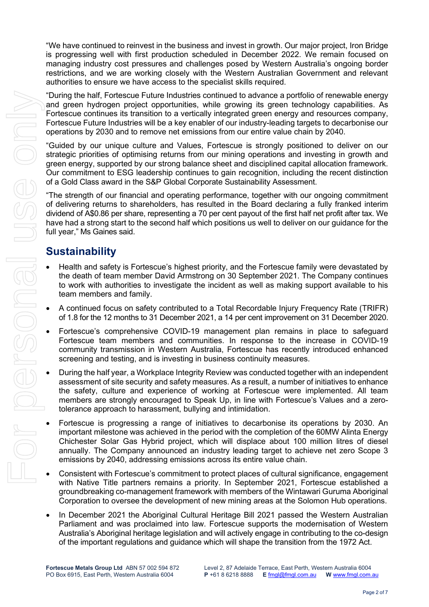"We have continued to reinvest in the business and invest in growth. Our major project, Iron Bridge is progressing well with first production scheduled in December 2022. We remain focused on managing industry cost pressures and challenges posed by Western Australia's ongoing border restrictions, and we are working closely with the Western Australian Government and relevant authorities to ensure we have access to the specialist skills required.

"During the half, Fortescue Future Industries continued to advance a portfolio of renewable energy and green hydrogen project opportunities, while growing its green technology capabilities. As Fortescue continues its transition to a vertically integrated green energy and resources company, Fortescue Future Industries will be a key enabler of our industry-leading targets to decarbonise our operations by 2030 and to remove net emissions from our entire value chain by 2040.

"Guided by our unique culture and Values, Fortescue is strongly positioned to deliver on our strategic priorities of optimising returns from our mining operations and investing in growth and green energy, supported by our strong balance sheet and disciplined capital allocation framework. Our commitment to ESG leadership continues to gain recognition, including the recent distinction of a Gold Class award in the S&P Global Corporate Sustainability Assessment.

"The strength of our financial and operating performance, together with our ongoing commitment of delivering returns to shareholders, has resulted in the Board declaring a fully franked interim dividend of A\$0.86 per share, representing a 70 per cent payout of the first half net profit after tax. We have had a strong start to the second half which positions us well to deliver on our guidance for the full year," Ms Gaines said.

#### **Sustainability**

- Health and safety is Fortescue's highest priority, and the Fortescue family were devastated by the death of team member David Armstrong on 30 September 2021. The Company continues to work with authorities to investigate the incident as well as making support available to his team members and family.
- A continued focus on safety contributed to a Total Recordable Injury Frequency Rate (TRIFR) of 1.8 for the 12 months to 31 December 2021, a 14 per cent improvement on 31 December 2020.
- Fortescue's comprehensive COVID-19 management plan remains in place to safeguard Fortescue team members and communities. In response to the increase in COVID-19 community transmission in Western Australia, Fortescue has recently introduced enhanced screening and testing, and is investing in business continuity measures.
- During the half year, a Workplace Integrity Review was conducted together with an independent assessment of site security and safety measures. As a result, a number of initiatives to enhance the safety, culture and experience of working at Fortescue were implemented. All team members are strongly encouraged to Speak Up, in line with Fortescue's Values and a zerotolerance approach to harassment, bullying and intimidation.
- Fortescue is progressing a range of initiatives to decarbonise its operations by 2030. An important milestone was achieved in the period with the completion of the 60MW Alinta Energy Chichester Solar Gas Hybrid project, which will displace about 100 million litres of diesel annually. The Company announced an industry leading target to achieve net zero Scope 3 emissions by 2040, addressing emissions across its entire value chain.
- Consistent with Fortescue's commitment to protect places of cultural significance, engagement with Native Title partners remains a priority. In September 2021, Fortescue established a groundbreaking co-management framework with members of the Wintawari Guruma Aboriginal Corporation to oversee the development of new mining areas at the Solomon Hub operations.
- In December 2021 the Aboriginal Cultural Heritage Bill 2021 passed the Western Australian Parliament and was proclaimed into law. Fortescue supports the modernisation of Western Australia's Aboriginal heritage legislation and will actively engage in contributing to the co-design of the important regulations and guidance which will shape the transition from the 1972 Act.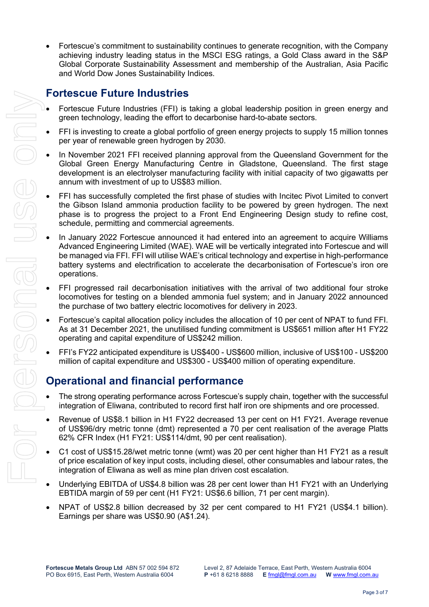• Fortescue's commitment to sustainability continues to generate recognition, with the Company achieving industry leading status in the MSCI ESG ratings, a Gold Class award in the S&P Global Corporate Sustainability Assessment and membership of the Australian, Asia Pacific and World Dow Jones Sustainability Indices.

#### **Fortescue Future Industries**

- Fortescue Future Industries (FFI) is taking a global leadership position in green energy and green technology, leading the effort to decarbonise hard-to-abate sectors.
- FFI is investing to create a global portfolio of green energy projects to supply 15 million tonnes per year of renewable green hydrogen by 2030.
- In November 2021 FFI received planning approval from the Queensland Government for the Global Green Energy Manufacturing Centre in Gladstone, Queensland. The first stage development is an electrolyser manufacturing facility with initial capacity of two gigawatts per annum with investment of up to US\$83 million.
- FFI has successfully completed the first phase of studies with Incitec Pivot Limited to convert the Gibson Island ammonia production facility to be powered by green hydrogen. The next phase is to progress the project to a Front End Engineering Design study to refine cost, schedule, permitting and commercial agreements.
- In January 2022 Fortescue announced it had entered into an agreement to acquire Williams Advanced Engineering Limited (WAE). WAE will be vertically integrated into Fortescue and will be managed via FFI. FFI will utilise WAE's critical technology and expertise in high-performance battery systems and electrification to accelerate the decarbonisation of Fortescue's iron ore operations.
- FFI progressed rail decarbonisation initiatives with the arrival of two additional four stroke locomotives for testing on a blended ammonia fuel system; and in January 2022 announced the purchase of two battery electric locomotives for delivery in 2023.
- Fortescue's capital allocation policy includes the allocation of 10 per cent of NPAT to fund FFI. As at 31 December 2021, the unutilised funding commitment is US\$651 million after H1 FY22 operating and capital expenditure of US\$242 million.
- FFI's FY22 anticipated expenditure is US\$400 US\$600 million, inclusive of US\$100 US\$200 million of capital expenditure and US\$300 - US\$400 million of operating expenditure.

#### **Operational and financial performance**

- The strong operating performance across Fortescue's supply chain, together with the successful integration of Eliwana, contributed to record first half iron ore shipments and ore processed.
- Revenue of US\$8.1 billion in H1 FY22 decreased 13 per cent on H1 FY21. Average revenue of US\$96/dry metric tonne (dmt) represented a 70 per cent realisation of the average Platts 62% CFR Index (H1 FY21: US\$114/dmt, 90 per cent realisation).
- C1 cost of US\$15.28/wet metric tonne (wmt) was 20 per cent higher than H1 FY21 as a result of price escalation of key input costs, including diesel, other consumables and labour rates, the integration of Eliwana as well as mine plan driven cost escalation.
- Underlying EBITDA of US\$4.8 billion was 28 per cent lower than H1 FY21 with an Underlying EBTIDA margin of 59 per cent (H1 FY21: US\$6.6 billion, 71 per cent margin).
- NPAT of US\$2.8 billion decreased by 32 per cent compared to H1 FY21 (US\$4.1 billion). Earnings per share was US\$0.90 (A\$1.24).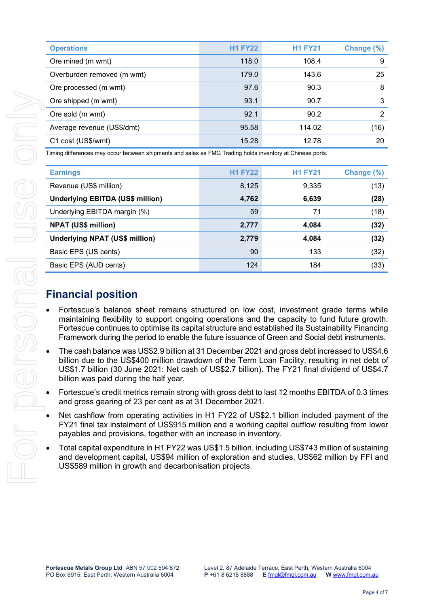| Overburden removed (m wmt)                                                                                                                                                                                                                                                                                                                                                                       | 179.0          | 143.6          | 25             |
|--------------------------------------------------------------------------------------------------------------------------------------------------------------------------------------------------------------------------------------------------------------------------------------------------------------------------------------------------------------------------------------------------|----------------|----------------|----------------|
| Ore processed (m wmt)                                                                                                                                                                                                                                                                                                                                                                            | 97.6           | 90.3           | 8              |
| Ore shipped (m wmt)                                                                                                                                                                                                                                                                                                                                                                              | 93.1           | 90.7           | 3              |
| Ore sold (m wmt)                                                                                                                                                                                                                                                                                                                                                                                 | 92.1           | 90.2           | $\overline{2}$ |
| Average revenue (US\$/dmt)                                                                                                                                                                                                                                                                                                                                                                       | 95.58          | 114.02         | (16)           |
| C1 cost (US\$/wmt)                                                                                                                                                                                                                                                                                                                                                                               | 15.28          | 12.78          | 20             |
| Timing differences may occur between shipments and sales as FMG Trading holds inventory at Chinese ports.                                                                                                                                                                                                                                                                                        |                |                |                |
| <b>Earnings</b>                                                                                                                                                                                                                                                                                                                                                                                  | <b>H1 FY22</b> | <b>H1 FY21</b> | Change (%)     |
| Revenue (US\$ million)                                                                                                                                                                                                                                                                                                                                                                           | 8,125          | 9,335          | (13)           |
| <b>Underlying EBITDA (US\$ million)</b>                                                                                                                                                                                                                                                                                                                                                          | 4,762          | 6,639          | (28)           |
| Underlying EBITDA margin (%)                                                                                                                                                                                                                                                                                                                                                                     | 59             | 71             | (18)           |
| <b>NPAT (US\$ million)</b>                                                                                                                                                                                                                                                                                                                                                                       | 2,777          | 4,084          | (32)           |
| <b>Underlying NPAT (US\$ million)</b>                                                                                                                                                                                                                                                                                                                                                            | 2,779          | 4,084          | (32)           |
| Basic EPS (US cents)                                                                                                                                                                                                                                                                                                                                                                             | 90             | 133            | (32)           |
| Basic EPS (AUD cents)                                                                                                                                                                                                                                                                                                                                                                            | 124            | 184            | (33)           |
|                                                                                                                                                                                                                                                                                                                                                                                                  |                |                |                |
| <b>Financial position</b>                                                                                                                                                                                                                                                                                                                                                                        |                |                |                |
| Fortescue's balance sheet remains structured on low cost, investment grade terms while<br>maintaining flexibility to support ongoing operations and the capacity to fund future growth.<br>Fortescue continues to optimise its capital structure and established its Sustainability Financing<br>Framework during the period to enable the future issuance of Green and Social debt instruments. |                |                |                |
| The cash balance was US\$2.9 billion at 31 December 2021 and gross debt increased to US\$4.6<br>billion due to the US\$400 million drawdown of the Term Loan Facility, resulting in net debt of<br>US\$1.7 billion (30 June 2021: Net cash of US\$2.7 billion). The FY21 final dividend of US\$4.7<br>billion was paid during the half year.                                                     |                |                |                |
|                                                                                                                                                                                                                                                                                                                                                                                                  |                |                |                |

- Net cashflow from operating activities in H1 FY22 of US\$2.1 billion included payment of the FY21 final tax instalment of US\$915 million and a working capital outflow resulting from lower payables and provisions, together with an increase in inventory.
- Total capital expenditure in H1 FY22 was US\$1.5 billion, including US\$743 million of sustaining and development capital, US\$94 million of exploration and studies, US\$62 million by FFI and US\$589 million in growth and decarbonisation projects.

|                                                                                                           | Overburden removed (m wmt) | 179.0          | 143.6          | 25         |
|-----------------------------------------------------------------------------------------------------------|----------------------------|----------------|----------------|------------|
|                                                                                                           | Ore processed (m wmt)      | 97.6           | 90.3           | 8          |
|                                                                                                           | Ore shipped (m wmt)        | 93.1           | 90.7           | 3          |
|                                                                                                           | Ore sold (m wmt)           | 92.1           | 90.2           | 2          |
|                                                                                                           | Average revenue (US\$/dmt) | 95.58          | 114.02         | (16)       |
|                                                                                                           | C1 cost (US\$/wmt)         | 15.28          | 12.78          | 20         |
| Timing differences may occur between shipments and sales as FMG Trading holds inventory at Chinese ports. |                            |                |                |            |
|                                                                                                           | <b>Earnings</b>            | <b>H1 FY22</b> | <b>H1 FY21</b> | Change (%) |
|                                                                                                           | Revenue (US\$ million)     | 8,125          | 9,335          | (13)       |

**Operations H1 FY22 H1 FY21 Change (%)** Ore mined (m wmt) 118.0 108.4 9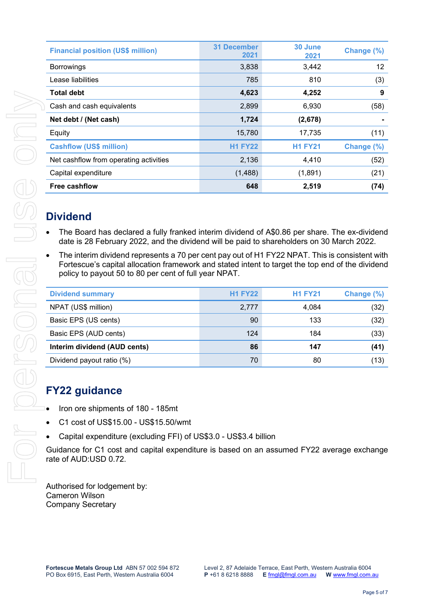| <b>Financial position (US\$ million)</b> | <b>31 December</b><br>2021 | 30 June<br>2021 | Change (%) |
|------------------------------------------|----------------------------|-----------------|------------|
| <b>Borrowings</b>                        | 3,838                      | 3,442           | 12         |
| Lease liabilities                        | 785                        | 810             | (3)        |
| <b>Total debt</b>                        | 4,623                      | 4,252           | 9          |
| Cash and cash equivalents                | 2,899                      | 6,930           | (58)       |
| Net debt / (Net cash)                    | 1,724                      | (2,678)         |            |
| Equity                                   | 15,780                     | 17,735          | (11)       |
| <b>Cashflow (US\$ million)</b>           | <b>H1 FY22</b>             | <b>H1 FY21</b>  | Change (%) |
| Net cashflow from operating activities   | 2,136                      | 4,410           | (52)       |
| Capital expenditure                      | (1,488)                    | (1,891)         | (21)       |
| <b>Free cashflow</b>                     | 648                        | 2,519           | (74)       |
|                                          |                            |                 |            |

## **Dividend**

- The Board has declared a fully franked interim dividend of A\$0.86 per share. The ex-dividend date is 28 February 2022, and the dividend will be paid to shareholders on 30 March 2022.
- The interim dividend represents a 70 per cent pay out of H1 FY22 NPAT. This is consistent with Fortescue's capital allocation framework and stated intent to target the top end of the dividend policy to payout 50 to 80 per cent of full year NPAT.

| <b>Dividend summary</b>      | <b>H1 FY22</b> | <b>H1 FY21</b> | Change (%) |
|------------------------------|----------------|----------------|------------|
| NPAT (US\$ million)          | 2,777          | 4,084          | (32)       |
| Basic EPS (US cents)         | 90             | 133            | (32)       |
| Basic EPS (AUD cents)        | 124            | 184            | (33)       |
| Interim dividend (AUD cents) | 86             | 147            | (41)       |
| Dividend payout ratio (%)    | 70             | 80             | ั13)       |

## **FY22 guidance**

- Iron ore shipments of 180 185mt
- C1 cost of US\$15.00 US\$15.50/wmt
- Capital expenditure (excluding FFI) of US\$3.0 US\$3.4 billion

Guidance for C1 cost and capital expenditure is based on an assumed FY22 average exchange rate of AUD:USD 0.72.

Authorised for lodgement by: Cameron Wilson Company Secretary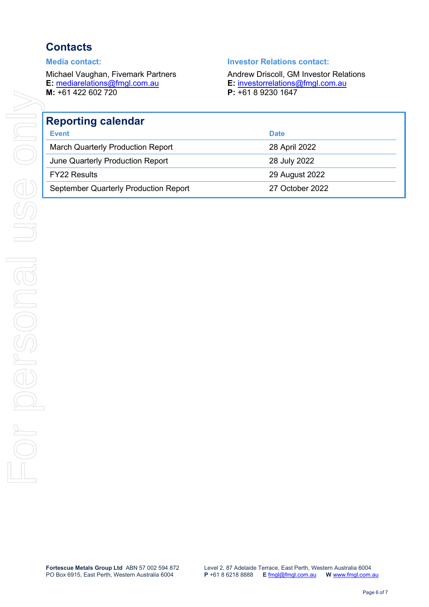# **Contacts**

**M:**  $+61$  422 602 720

#### **Media contact: Investor Relations contact:**

Michael Vaughan, Fivemark Partners **Andrew Driscoll, GM Investor Relations E:** mediarelations@fmgl.com.au **E:** investorrelations@fmgl.com.au **E:** [investorrelations@fmgl.com.au](mailto:investorrelations@fmgl.com.au)<br>**P**: +61 8 9230 1647

| <b>Reporting calendar</b>                |                 |  |  |
|------------------------------------------|-----------------|--|--|
| <b>Event</b>                             | <b>Date</b>     |  |  |
| <b>March Quarterly Production Report</b> | 28 April 2022   |  |  |
| June Quarterly Production Report         | 28 July 2022    |  |  |
| <b>FY22 Results</b>                      | 29 August 2022  |  |  |
| September Quarterly Production Report    | 27 October 2022 |  |  |